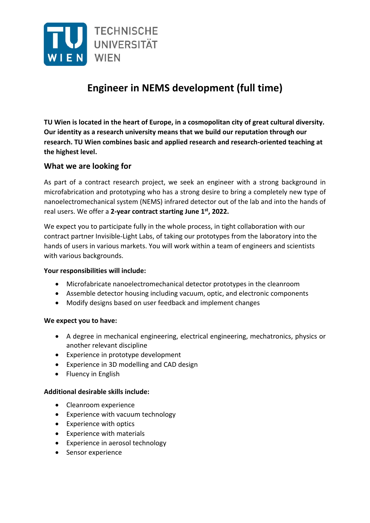

# **Engineer in NEMS development (full time)**

**TU Wien is located in the heart of Europe, in a cosmopolitan city of great cultural diversity. Our identity as a research university means that we build our reputation through our research. TU Wien combines basic and applied research and research‐oriented teaching at the highest level.**

# **What we are looking for**

As part of a contract research project, we seek an engineer with a strong background in microfabrication and prototyping who has a strong desire to bring a completely new type of nanoelectromechanical system (NEMS) infrared detector out of the lab and into the hands of real users. We offer a **2‐year contract starting June 1st, 2022.**

We expect you to participate fully in the whole process, in tight collaboration with our contract partner Invisible‐Light Labs, of taking our prototypes from the laboratory into the hands of users in various markets. You will work within a team of engineers and scientists with various backgrounds.

#### **Your responsibilities will include:**

- Microfabricate nanoelectromechanical detector prototypes in the cleanroom
- Assemble detector housing including vacuum, optic, and electronic components
- Modify designs based on user feedback and implement changes

## **We expect you to have:**

- A degree in mechanical engineering, electrical engineering, mechatronics, physics or another relevant discipline
- Experience in prototype development
- Experience in 3D modelling and CAD design
- Fluency in English

## **Additional desirable skills include:**

- Cleanroom experience
- Experience with vacuum technology
- Experience with optics
- Experience with materials
- Experience in aerosol technology
- Sensor experience